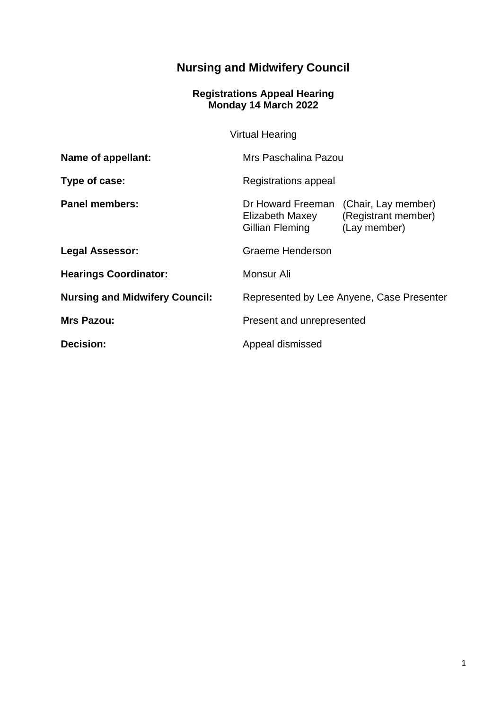# **Nursing and Midwifery Council**

#### **Registrations Appeal Hearing Monday 14 March 2022**

Virtual Hearing

| Name of appellant:                    | Mrs Paschalina Pazou                                                                                                  |
|---------------------------------------|-----------------------------------------------------------------------------------------------------------------------|
| Type of case:                         | Registrations appeal                                                                                                  |
| <b>Panel members:</b>                 | (Chair, Lay member)<br>Dr Howard Freeman<br>(Registrant member)<br>Elizabeth Maxey<br>(Lay member)<br>Gillian Fleming |
| <b>Legal Assessor:</b>                | Graeme Henderson                                                                                                      |
| <b>Hearings Coordinator:</b>          | Monsur Ali                                                                                                            |
| <b>Nursing and Midwifery Council:</b> | Represented by Lee Anyene, Case Presenter                                                                             |
| <b>Mrs Pazou:</b>                     | Present and unrepresented                                                                                             |
| <b>Decision:</b>                      | Appeal dismissed                                                                                                      |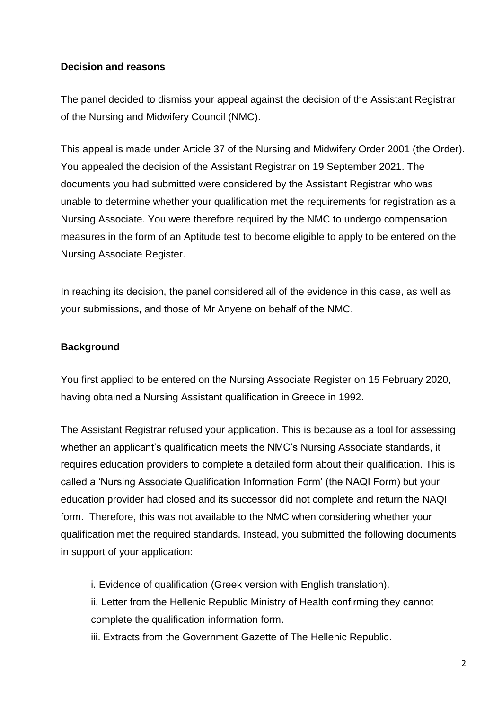## **Decision and reasons**

The panel decided to dismiss your appeal against the decision of the Assistant Registrar of the Nursing and Midwifery Council (NMC).

This appeal is made under Article 37 of the Nursing and Midwifery Order 2001 (the Order). You appealed the decision of the Assistant Registrar on 19 September 2021. The documents you had submitted were considered by the Assistant Registrar who was unable to determine whether your qualification met the requirements for registration as a Nursing Associate. You were therefore required by the NMC to undergo compensation measures in the form of an Aptitude test to become eligible to apply to be entered on the Nursing Associate Register.

In reaching its decision, the panel considered all of the evidence in this case, as well as your submissions, and those of Mr Anyene on behalf of the NMC.

### **Background**

You first applied to be entered on the Nursing Associate Register on 15 February 2020, having obtained a Nursing Assistant qualification in Greece in 1992.

The Assistant Registrar refused your application. This is because as a tool for assessing whether an applicant's qualification meets the NMC's Nursing Associate standards, it requires education providers to complete a detailed form about their qualification. This is called a 'Nursing Associate Qualification Information Form' (the NAQI Form) but your education provider had closed and its successor did not complete and return the NAQI form. Therefore, this was not available to the NMC when considering whether your qualification met the required standards. Instead, you submitted the following documents in support of your application:

i. Evidence of qualification (Greek version with English translation). ii. Letter from the Hellenic Republic Ministry of Health confirming they cannot complete the qualification information form.

iii. Extracts from the Government Gazette of The Hellenic Republic.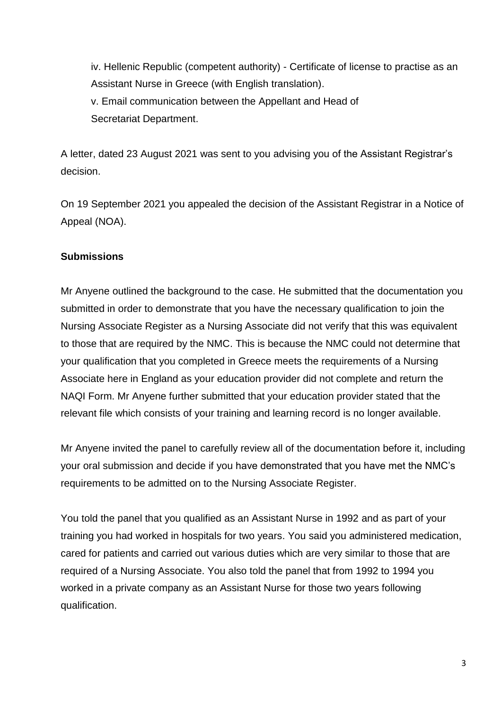iv. Hellenic Republic (competent authority) - Certificate of license to practise as an Assistant Nurse in Greece (with English translation). v. Email communication between the Appellant and Head of Secretariat Department.

A letter, dated 23 August 2021 was sent to you advising you of the Assistant Registrar's decision.

On 19 September 2021 you appealed the decision of the Assistant Registrar in a Notice of Appeal (NOA).

## **Submissions**

Mr Anyene outlined the background to the case. He submitted that the documentation you submitted in order to demonstrate that you have the necessary qualification to join the Nursing Associate Register as a Nursing Associate did not verify that this was equivalent to those that are required by the NMC. This is because the NMC could not determine that your qualification that you completed in Greece meets the requirements of a Nursing Associate here in England as your education provider did not complete and return the NAQI Form. Mr Anyene further submitted that your education provider stated that the relevant file which consists of your training and learning record is no longer available.

Mr Anyene invited the panel to carefully review all of the documentation before it, including your oral submission and decide if you have demonstrated that you have met the NMC's requirements to be admitted on to the Nursing Associate Register.

You told the panel that you qualified as an Assistant Nurse in 1992 and as part of your training you had worked in hospitals for two years. You said you administered medication, cared for patients and carried out various duties which are very similar to those that are required of a Nursing Associate. You also told the panel that from 1992 to 1994 you worked in a private company as an Assistant Nurse for those two years following qualification.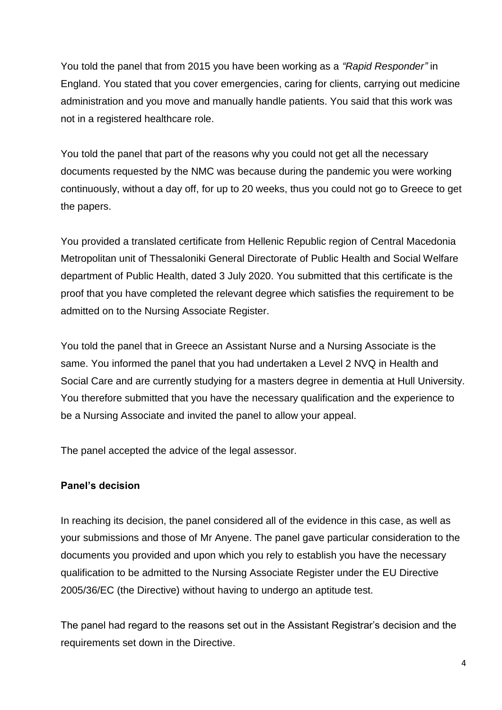You told the panel that from 2015 you have been working as a *"Rapid Responder"* in England. You stated that you cover emergencies, caring for clients, carrying out medicine administration and you move and manually handle patients. You said that this work was not in a registered healthcare role.

You told the panel that part of the reasons why you could not get all the necessary documents requested by the NMC was because during the pandemic you were working continuously, without a day off, for up to 20 weeks, thus you could not go to Greece to get the papers.

You provided a translated certificate from Hellenic Republic region of Central Macedonia Metropolitan unit of Thessaloniki General Directorate of Public Health and Social Welfare department of Public Health, dated 3 July 2020. You submitted that this certificate is the proof that you have completed the relevant degree which satisfies the requirement to be admitted on to the Nursing Associate Register.

You told the panel that in Greece an Assistant Nurse and a Nursing Associate is the same. You informed the panel that you had undertaken a Level 2 NVQ in Health and Social Care and are currently studying for a masters degree in dementia at Hull University. You therefore submitted that you have the necessary qualification and the experience to be a Nursing Associate and invited the panel to allow your appeal.

The panel accepted the advice of the legal assessor.

## **Panel's decision**

In reaching its decision, the panel considered all of the evidence in this case, as well as your submissions and those of Mr Anyene. The panel gave particular consideration to the documents you provided and upon which you rely to establish you have the necessary qualification to be admitted to the Nursing Associate Register under the EU Directive 2005/36/EC (the Directive) without having to undergo an aptitude test.

The panel had regard to the reasons set out in the Assistant Registrar's decision and the requirements set down in the Directive.